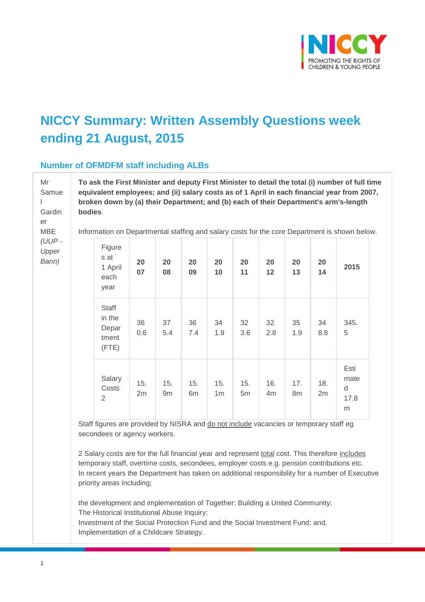

# **NICCY Summary: Written Assembly Questions week ending 21 August, 2015**

#### **Number of OFMDFM staff including ALBs**

**To ask the First Minister and deputy First Minister to detail the total (i) number of full time equivalent employees; and (ii) salary costs as of 1 April in each financial year from 2007, broken down by (a) their Department; and (b) each of their Department's arm's-length bodies**.

Information on Departmental staffing and salary costs for the core Department is shown below.

| Figure<br>s at<br>1 April<br>each<br>year  | 20<br>07  | 20<br>08  | 20<br>09  | 20<br>10              | 20<br>11              | 20<br>12              | 20<br>13  | 20<br>14  | 2015                           |
|--------------------------------------------|-----------|-----------|-----------|-----------------------|-----------------------|-----------------------|-----------|-----------|--------------------------------|
| Staff<br>in the<br>Depar<br>tment<br>(FTE) | 36<br>0.6 | 37<br>5.4 | 36<br>7.4 | 34<br>1.9             | 32<br>3.6             | 32<br>2.8             | 35<br>1.9 | 34<br>8.8 | 345.<br>5                      |
| Salary<br>Costs<br>2                       | 15.<br>2m | 15.<br>9m | 15.<br>6m | 15.<br>1 <sub>m</sub> | 15.<br>5 <sub>m</sub> | 16.<br>4 <sub>m</sub> | 17.<br>8m | 18.<br>2m | Esti<br>mate<br>d<br>17.8<br>m |

Staff figures are provided by NISRA and do not include vacancies or temporary staff eg secondees or agency workers.

2 Salary costs are for the full financial year and represent total cost. This therefore includes In recent years the Department has taken on additional responsibility for a number of Executive priority areas including; temporary staff, overtime costs, secondees, employer costs e.g. pension contributions etc.

the development and implementation of Together: Building a United Community; The Historical Institutional Abuse Inquiry; Investment of the Social Protection Fund and the Social Investment Fund; and, Implementation of a Childcare Strategy.

Mr Samue

l Gardin er MBE *(UUP - Upper Bann)*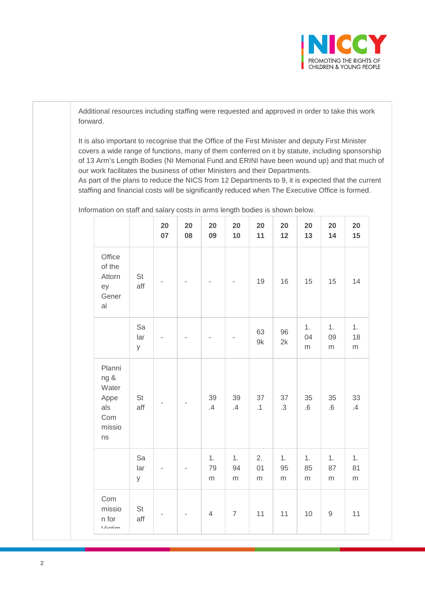

Additional resources including staffing were requested and approved in order to take this work forward.

It is also important to recognise that the Office of the First Minister and deputy First Minister covers a wide range of functions, many of them conferred on it by statute, including sponsorship of 13 Arm's Length Bodies (NI Memorial Fund and ERINI have been wound up) and that much of our work facilitates the business of other Ministers and their Departments.

As part of the plans to reduce the NICS from 12 Departments to 9, it is expected that the current staffing and financial costs will be significantly reduced when The Executive Office is formed.

|                                                               |                | 20<br>07       | 20<br>08 | 20<br>09       | 20<br>10              | 20<br>11              | 20<br>12              | 20<br>13              | 20<br>14              | 20<br>15      |
|---------------------------------------------------------------|----------------|----------------|----------|----------------|-----------------------|-----------------------|-----------------------|-----------------------|-----------------------|---------------|
| Office<br>of the<br>Attorn<br>ey<br>Gener<br>al               | St<br>aff      |                |          |                |                       | 19                    | 16                    | 15                    | 15                    | 14            |
|                                                               | Sa<br>lar<br>У |                |          |                |                       | 63<br>9k              | 96<br>2k              | 1.<br>04<br>${\sf m}$ | 1.<br>09<br>${\sf m}$ | 1.<br>18<br>m |
| Planni<br>ng &<br>Water<br>Appe<br>als<br>Com<br>missio<br>ns | St<br>aff      |                |          | 39<br>$.4\,$   | 39<br>$.4\,$          | 37<br>.1              | 37<br>$\cdot$ 3       | 35<br>$.6\,$          | 35<br>$.6\,$          | 33<br>$.4\,$  |
|                                                               | Sa<br>lar<br>У |                |          | 1.<br>79<br>m  | 1.<br>94<br>${\sf m}$ | 2.<br>01<br>${\sf m}$ | 1.<br>95<br>${\sf m}$ | 1.<br>85<br>${\sf m}$ | 1.<br>87<br>${\sf m}$ | 1.<br>81<br>m |
| Com<br>missio<br>n for<br>$\overline{V}$                      | St<br>aff      | $\overline{a}$ |          | $\overline{4}$ | $\overline{7}$        | 11                    | 11                    | 10                    | $\hbox{9}$            | 11            |

Information on staff and salary costs in arms length bodies is shown below.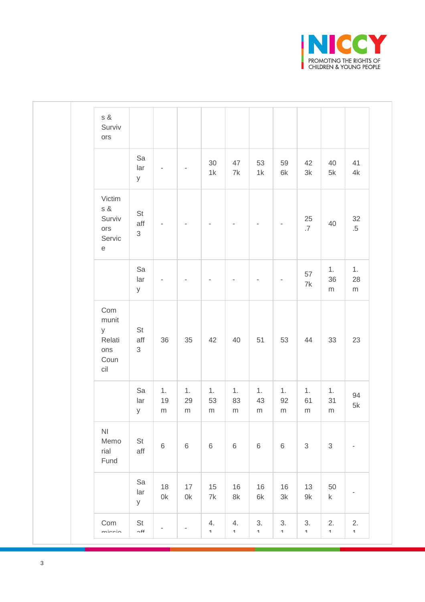

| $\sqrt{3}$ &<br>Surviv<br>ors                                                                               |                             |                          |                          |                               |                           |                               |                            |                           |                            |                                |
|-------------------------------------------------------------------------------------------------------------|-----------------------------|--------------------------|--------------------------|-------------------------------|---------------------------|-------------------------------|----------------------------|---------------------------|----------------------------|--------------------------------|
|                                                                                                             | Sa<br>lar<br>У              | $\overline{\phantom{a}}$ |                          | 30<br>$1\mathrm{k}$           | 47<br>$7\mathrm{k}$       | 53<br>$1\mathrm{k}$           | 59<br>$6\mathrm{k}$        | 42<br>$3\mathsf{k}$       | 40<br>$5\mathsf{k}$        | 41<br>$4\mathsf{k}$            |
| Victim<br>$\sqrt{s}$ &<br>Surviv<br>$_{\text{OTS}}$<br>Servic<br>$\mathsf{e}% _{0}\left( \mathsf{e}\right)$ | St<br>aff<br>$\mathfrak{S}$ | $\overline{\phantom{a}}$ | $\overline{\phantom{a}}$ | $\overline{\phantom{a}}$      | $\overline{\phantom{a}}$  | $\overline{\phantom{a}}$      | $\overline{\phantom{a}}$   | $\frac{25}{0.7}$          | 40                         | $32\,$<br>$.5\,$               |
|                                                                                                             | Sa<br>lar<br>У              | $\overline{a}$           |                          | ÷                             |                           | ÷                             | $\overline{\phantom{a}}$   | $57\,$<br>$7\mathsf{k}$   | 1.<br>36<br>${\sf m}$      | 1.<br>28<br>${\sf m}$          |
| Com<br>munit<br>y<br>Relati<br>ons<br>Coun<br>$\operatorname{cil}$                                          | St<br>aff<br>$\mathfrak{S}$ | $36\,$                   | 35                       | 42                            | 40                        | 51                            | 53                         | 44                        | 33                         | 23                             |
|                                                                                                             | Sa<br>lar<br>У              | 1.<br>19<br>${\sf m}$    | 1.<br>29<br>${\sf m}$    | 1.<br>53<br>${\sf m}$         | 1.<br>83<br>${\sf m}$     | 1.<br>43<br>${\sf m}$         | 1.<br>92<br>${\sf m}$      | 1.<br>61<br>${\sf m}$     | 1.<br>31<br>${\sf m}$      | 94<br>$5\mathsf{k}$            |
| $\mathsf{N}\mathsf{I}$<br>Memo<br>rial<br>Fund                                                              | St<br>aff                   | $\,6$                    | $\,6\,$                  | $\,6$                         | $\,$ 6 $\,$               | $\,6\,$                       | $\,6\,$                    | $\sqrt{3}$                | $\ensuremath{\mathsf{3}}$  | $\overline{\phantom{a}}$       |
|                                                                                                             | Sa<br>lar<br>У              | 18<br>0k                 | 17<br>$0\mathsf{k}$      | 15<br>$7\mathrm{k}$           | 16<br>$8\mathsf{k}$       | 16<br>6k                      | 16<br>$3\mathsf{k}$        | 13<br>$9\mathsf{k}$       | 50<br>k                    | $\overline{\phantom{a}}$       |
| Com<br>minnin                                                                                               | St<br>$\sim$ f f            | ÷                        | $\overline{\phantom{a}}$ | 4.<br>$\overline{\mathbf{A}}$ | 4.<br>$\pmb{\mathcal{A}}$ | 3.<br>$\overline{\mathbf{A}}$ | 3.<br>$\blacktriangleleft$ | 3.<br>$\pmb{\mathcal{A}}$ | 2.<br>$\blacktriangleleft$ | 2.<br>$\overline{\phantom{a}}$ |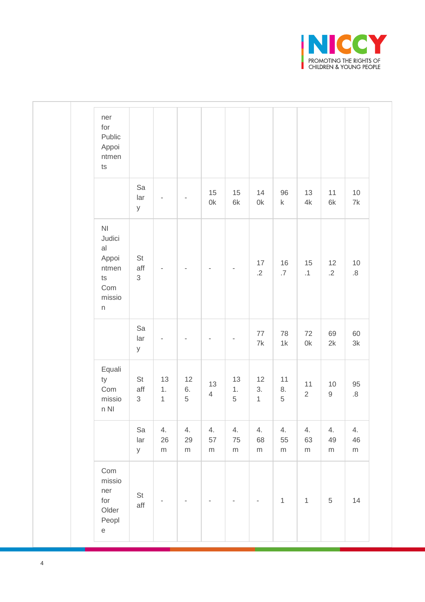

| ner<br>for<br>Public<br>Appoi<br>ntmen<br>$\mathsf{ts}$                                                     |                                    |                          |                         |                          |                          |                          |                              |                       |                       |                     |
|-------------------------------------------------------------------------------------------------------------|------------------------------------|--------------------------|-------------------------|--------------------------|--------------------------|--------------------------|------------------------------|-----------------------|-----------------------|---------------------|
|                                                                                                             | Sa<br>lar<br>У                     | $\overline{\phantom{m}}$ |                         | 15<br>0k                 | 15<br>6k                 | 14<br>$0\mathsf{k}$      | 96<br>$\sf k$                | 13<br>4k              | 11<br>6k              | $10$<br>7k          |
| N <sub>l</sub><br>Judici<br>al<br>Appoi<br>ntmen<br>$\sf{ts}$<br>Com<br>missio<br>$\boldsymbol{\mathsf{n}}$ | $\mathsf{St}$<br>aff<br>$\sqrt{3}$ | $\overline{\phantom{a}}$ |                         | $\overline{\phantom{a}}$ | $\overline{\phantom{a}}$ | $17\,$<br>$.2\,$         | 16<br>$.7\,$                 | 15<br>$\cdot$ 1       | 12<br>$.2\,$          | $10$<br>$\, 8$      |
|                                                                                                             | Sa<br>lar<br>У                     | $\overline{\phantom{a}}$ |                         | $\blacksquare$           | $\overline{\phantom{a}}$ | $77\,$<br>7k             | 78<br>1k                     | 72<br>$0\mathsf{k}$   | 69<br>2k              | 60<br>$3\mathsf{k}$ |
| Equali<br>ty<br>Com<br>missio<br>$n$ NI                                                                     | St<br>aff<br>$\mathfrak{S}$        | 13<br>1.<br>$\mathbf{1}$ | 12<br>6.<br>$\,$ 5 $\,$ | 13<br>$\overline{4}$     | 13<br>1.<br>$\,$ 5 $\,$  | 12<br>3.<br>$\mathbf{1}$ | 11<br>$8. \,$<br>$\,$ 5 $\,$ | 11<br>$\overline{2}$  | $10$<br>$\mathsf g$   | $95\,$<br>$\, 8$    |
|                                                                                                             | Sa<br>lar<br>У                     | 4.<br>26<br>${\sf m}$    | 4.<br>29<br>${\sf m}$   | 4.<br>57<br>m            | 4.<br>75<br>${\sf m}$    | 4.<br>68<br>m            | 4.<br>55<br>${\sf m}$        | 4.<br>63<br>${\sf m}$ | 4.<br>49<br>${\sf m}$ | 4.<br>$46\,$<br>m   |
| Com<br>missio<br>ner<br>for<br>Older<br>Peopl<br>$\mathop{\mathrm{e}}$                                      | St<br>aff                          |                          |                         |                          |                          | $\overline{\phantom{a}}$ | $\mathbf{1}$                 | $\mathbf{1}$          | $\,$ 5 $\,$           | $14$                |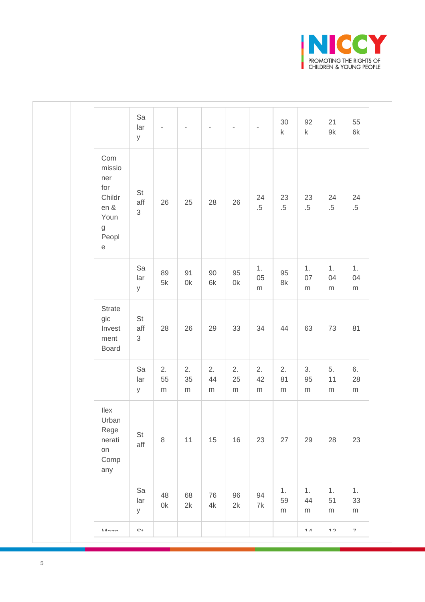

|                                                                                               | Sa<br>lar<br>У                         |                       |                       |                       |                       | $\overline{\phantom{a}}$ | 30<br>$\sf k$         | 92<br>$\sf k$         | 21<br>9k              | 55<br>$6k$               |
|-----------------------------------------------------------------------------------------------|----------------------------------------|-----------------------|-----------------------|-----------------------|-----------------------|--------------------------|-----------------------|-----------------------|-----------------------|--------------------------|
| Com<br>missio<br>ner<br>for<br>Childr<br>en &<br>Youn<br>$\mathsf g$<br>Peopl<br>$\mathsf{e}$ | $\mathsf{St}$<br>aff<br>$\mathfrak{S}$ | 26                    | 25                    | 28                    | 26                    | 24<br>$.5\,$             | 23<br>$.5\,$          | 23<br>$.5\,$          | 24<br>$.5\,$          | 24<br>$.5\,$             |
|                                                                                               | Sa<br>lar<br>У                         | 89<br>$5k$            | 91<br>0k              | 90<br>6k              | 95<br>$0\mathsf{k}$   | 1.<br>05<br>${\sf m}$    | 95<br>$8\mathsf{k}$   | 1.<br>07<br>${\sf m}$ | 1.<br>04<br>${\sf m}$ | 1.<br>04<br>${\sf m}$    |
| Strate<br>gic<br>Invest<br>ment<br>Board                                                      | $\mathsf{St}$<br>aff<br>$\sqrt{3}$     | 28                    | 26                    | 29                    | 33                    | 34                       | 44                    | 63                    | 73                    | 81                       |
|                                                                                               | Sa<br>lar<br>У                         | 2.<br>55<br>${\sf m}$ | 2.<br>35<br>${\sf m}$ | 2.<br>44<br>${\sf m}$ | 2.<br>25<br>${\sf m}$ | 2.<br>42<br>${\sf m}$    | 2.<br>81<br>${\sf m}$ | 3.<br>95<br>${\sf m}$ | 5.<br>11<br>${\sf m}$ | 6.<br>28<br>${\sf m}$    |
| llex<br>Urban<br>Rege<br>nerati<br>on<br>Comp<br>any                                          | $\mathsf{St}$<br>aff                   | $\,8\,$               | 11                    | 15                    | $16\,$                | 23                       | 27                    | 29                    | 28                    | 23                       |
|                                                                                               | Sa<br>lar<br>У                         | 48<br>0k              | 68<br>2k              | 76<br>4k              | 96<br>2k              | 94<br>$7\mathrm{k}$      | 1.<br>59<br>${\sf m}$ | 1.<br>44<br>${\sf m}$ | 1.<br>51<br>${\sf m}$ | 1.<br>33<br>${\sf m}$    |
| $M \cap \neg \wedge$                                                                          | $\mathbb{C}^{+}$                       |                       |                       |                       |                       |                          |                       | $\overline{A}$        | $\sim$                | $\overline{\phantom{a}}$ |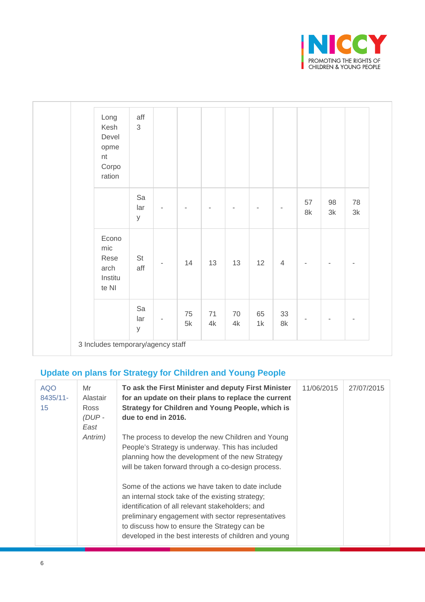

| Long<br>Kesh<br>Devel<br>opme<br>nt<br>Corpo<br>ration | aff<br>3       |                          |                     |          |          |                          |                     |                |          |          |
|--------------------------------------------------------|----------------|--------------------------|---------------------|----------|----------|--------------------------|---------------------|----------------|----------|----------|
|                                                        | Sa<br>lar<br>У | $\overline{\phantom{a}}$ |                     | ÷        |          | $\overline{\phantom{a}}$ | ٠                   | 57<br>8k       | 98<br>3k | 78<br>3k |
| Econo<br>mic<br>Rese<br>arch<br>Institu<br>te NI       | St<br>aff      | $\bar{ }$                | 14                  | 13       | 13       | 12                       | $\overline{4}$      | $\overline{a}$ | ٠        |          |
|                                                        | Sa<br>lar<br>У | $\overline{\phantom{a}}$ | 75<br>$5\mathsf{k}$ | 71<br>4k | 70<br>4k | 65<br>1k                 | 33<br>$8\mathrm{k}$ |                |          |          |

### **Update on plans for Strategy for Children and Young People**

| <b>AQO</b><br>$8435/11 -$<br>15 <sup>15</sup> | Mr<br>Alastair<br>Ross<br>$(DUP -$<br>East | To ask the First Minister and deputy First Minister<br>for an update on their plans to replace the current<br><b>Strategy for Children and Young People, which is</b><br>due to end in 2016.                                                                                                                                                                                                                                                                                                                                                | 11/06/2015 | 27/07/2015 |
|-----------------------------------------------|--------------------------------------------|---------------------------------------------------------------------------------------------------------------------------------------------------------------------------------------------------------------------------------------------------------------------------------------------------------------------------------------------------------------------------------------------------------------------------------------------------------------------------------------------------------------------------------------------|------------|------------|
|                                               | Antrim)                                    | The process to develop the new Children and Young<br>People's Strategy is underway. This has included<br>planning how the development of the new Strategy<br>will be taken forward through a co-design process.<br>Some of the actions we have taken to date include<br>an internal stock take of the existing strategy;<br>identification of all relevant stakeholders; and<br>preliminary engagement with sector representatives<br>to discuss how to ensure the Strategy can be<br>developed in the best interests of children and young |            |            |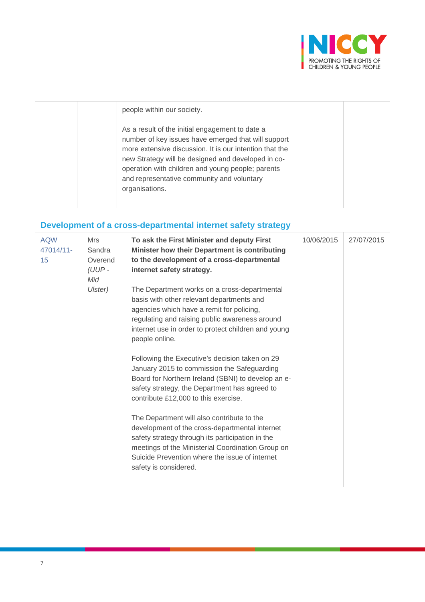

| people within our society.                                                                                                                                                                                                                                                                                                                   |  |
|----------------------------------------------------------------------------------------------------------------------------------------------------------------------------------------------------------------------------------------------------------------------------------------------------------------------------------------------|--|
| As a result of the initial engagement to date a<br>number of key issues have emerged that will support<br>more extensive discussion. It is our intention that the<br>new Strategy will be designed and developed in co-<br>operation with children and young people; parents<br>and representative community and voluntary<br>organisations. |  |

# **Development of a cross-departmental internet safety strategy**

| To ask the First Minister and deputy First<br>Mrs<br>Minister how their Department is contributing<br>Sandra<br>to the development of a cross-departmental<br>Overend<br>$(UUP -$<br>internet safety strategy.                                                                                                                                                                                                                                                                                                                                                                                                                                                                                                                                                                                                   | 10/06/2015 | 27/07/2015 |
|------------------------------------------------------------------------------------------------------------------------------------------------------------------------------------------------------------------------------------------------------------------------------------------------------------------------------------------------------------------------------------------------------------------------------------------------------------------------------------------------------------------------------------------------------------------------------------------------------------------------------------------------------------------------------------------------------------------------------------------------------------------------------------------------------------------|------------|------------|
| The Department works on a cross-departmental<br>Ulster)<br>basis with other relevant departments and<br>agencies which have a remit for policing,<br>regulating and raising public awareness around<br>internet use in order to protect children and young<br>people online.<br>Following the Executive's decision taken on 29<br>January 2015 to commission the Safeguarding<br>Board for Northern Ireland (SBNI) to develop an e-<br>safety strategy, the Department has agreed to<br>contribute £12,000 to this exercise.<br>The Department will also contribute to the<br>development of the cross-departmental internet<br>safety strategy through its participation in the<br>meetings of the Ministerial Coordination Group on<br>Suicide Prevention where the issue of internet<br>safety is considered. |            |            |
|                                                                                                                                                                                                                                                                                                                                                                                                                                                                                                                                                                                                                                                                                                                                                                                                                  |            |            |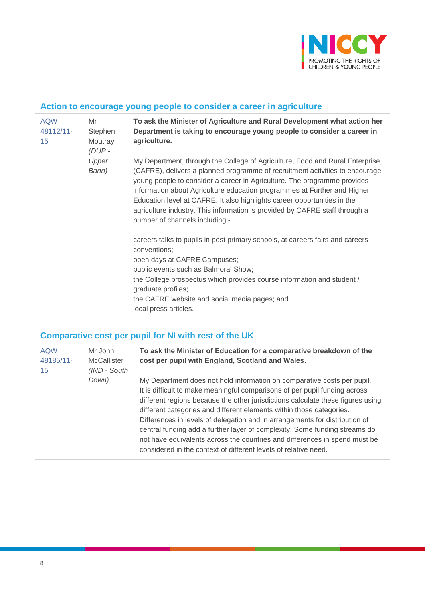

#### **Action to encourage young people to consider a career in agriculture**

| <b>AQW</b><br>48112/11-<br>15 | Mr<br>Stephen<br>Moutray<br>(DUP- | To ask the Minister of Agriculture and Rural Development what action her<br>Department is taking to encourage young people to consider a career in<br>agriculture.                                                                                                                                                                                                                                                                                                                                                 |
|-------------------------------|-----------------------------------|--------------------------------------------------------------------------------------------------------------------------------------------------------------------------------------------------------------------------------------------------------------------------------------------------------------------------------------------------------------------------------------------------------------------------------------------------------------------------------------------------------------------|
| Upper<br>Bann)                |                                   | My Department, through the College of Agriculture, Food and Rural Enterprise,<br>(CAFRE), delivers a planned programme of recruitment activities to encourage<br>young people to consider a career in Agriculture. The programme provides<br>information about Agriculture education programmes at Further and Higher<br>Education level at CAFRE. It also highlights career opportunities in the<br>agriculture industry. This information is provided by CAFRE staff through a<br>number of channels including:- |
|                               |                                   | careers talks to pupils in post primary schools, at careers fairs and careers<br>conventions;<br>open days at CAFRE Campuses;<br>public events such as Balmoral Show;<br>the College prospectus which provides course information and student /<br>graduate profiles;<br>the CAFRE website and social media pages; and<br>local press articles.                                                                                                                                                                    |

# **Comparative cost per pupil for NI with rest of the UK**

| <b>AQW</b><br>48185/11-<br>15 | Mr John<br><b>McCallister</b><br>(IND - South | To ask the Minister of Education for a comparative breakdown of the<br>cost per pupil with England, Scotland and Wales.                                                                                                                                                                                                                                                                                                                                                                                                                                                                                                        |
|-------------------------------|-----------------------------------------------|--------------------------------------------------------------------------------------------------------------------------------------------------------------------------------------------------------------------------------------------------------------------------------------------------------------------------------------------------------------------------------------------------------------------------------------------------------------------------------------------------------------------------------------------------------------------------------------------------------------------------------|
|                               | Down)                                         | My Department does not hold information on comparative costs per pupil.<br>It is difficult to make meaningful comparisons of per pupil funding across<br>different regions because the other jurisdictions calculate these figures using<br>different categories and different elements within those categories.<br>Differences in levels of delegation and in arrangements for distribution of<br>central funding add a further layer of complexity. Some funding streams do<br>not have equivalents across the countries and differences in spend must be<br>considered in the context of different levels of relative need. |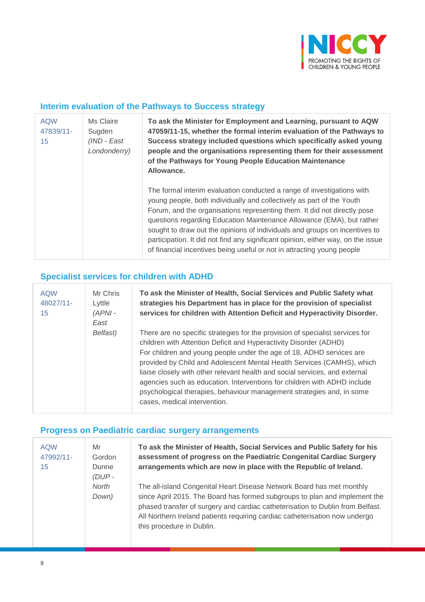

#### **Interim evaluation of the Pathways to Success strategy**

| <b>AQW</b><br>47839/11-<br>15 | Ms Claire<br>Sugden<br>(IND - East<br>Londonderry) | To ask the Minister for Employment and Learning, pursuant to AQW<br>47059/11-15, whether the formal interim evaluation of the Pathways to<br>Success strategy included questions which specifically asked young<br>people and the organisations representing them for their assessment<br>of the Pathways for Young People Education Maintenance<br>Allowance.                                                                                                                                                                                   |
|-------------------------------|----------------------------------------------------|--------------------------------------------------------------------------------------------------------------------------------------------------------------------------------------------------------------------------------------------------------------------------------------------------------------------------------------------------------------------------------------------------------------------------------------------------------------------------------------------------------------------------------------------------|
|                               |                                                    | The formal interim evaluation conducted a range of investigations with<br>young people, both individually and collectively as part of the Youth<br>Forum, and the organisations representing them. It did not directly pose<br>questions regarding Education Maintenance Allowance (EMA), but rather<br>sought to draw out the opinions of individuals and groups on incentives to<br>participation. It did not find any significant opinion, either way, on the issue<br>of financial incentives being useful or not in attracting young people |

### **Specialist services for children with ADHD**

| <b>AQW</b><br>48027/11-<br>15 | Mr Chris<br>Lyttle<br>$(APNI -$<br>East | To ask the Minister of Health, Social Services and Public Safety what<br>strategies his Department has in place for the provision of specialist<br>services for children with Attention Deficit and Hyperactivity Disorder.                                                                                                                                                                                                                                                                                                                                              |
|-------------------------------|-----------------------------------------|--------------------------------------------------------------------------------------------------------------------------------------------------------------------------------------------------------------------------------------------------------------------------------------------------------------------------------------------------------------------------------------------------------------------------------------------------------------------------------------------------------------------------------------------------------------------------|
|                               | Belfast)                                | There are no specific strategies for the provision of specialist services for<br>children with Attention Deficit and Hyperactivity Disorder (ADHD)<br>For children and young people under the age of 18, ADHD services are<br>provided by Child and Adolescent Mental Health Services (CAMHS), which<br>liaise closely with other relevant health and social services, and external<br>agencies such as education. Interventions for children with ADHD include<br>psychological therapies, behaviour management strategies and, in some<br>cases, medical intervention. |

# **Progress on Paediatric cardiac surgery arrangements**

| <b>AQW</b><br>47992/11-<br>15 | Mr<br>Gordon<br>Dunne<br>$(DUP -$ | To ask the Minister of Health, Social Services and Public Safety for his<br>assessment of progress on the Paediatric Congenital Cardiac Surgery<br>arrangements which are now in place with the Republic of Ireland.                                                                                                                              |
|-------------------------------|-----------------------------------|---------------------------------------------------------------------------------------------------------------------------------------------------------------------------------------------------------------------------------------------------------------------------------------------------------------------------------------------------|
|                               | North<br>Down)                    | The all-island Congenital Heart Disease Network Board has met monthly<br>since April 2015. The Board has formed subgroups to plan and implement the<br>phased transfer of surgery and cardiac catheterisation to Dublin from Belfast.<br>All Northern Ireland patients requiring cardiac catheterisation now undergo<br>this procedure in Dublin. |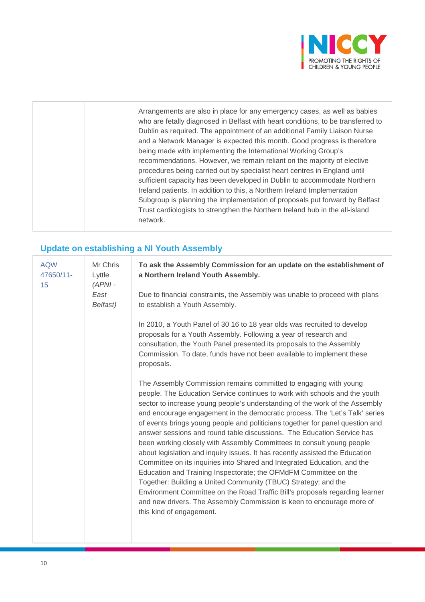

|  | Arrangements are also in place for any emergency cases, as well as babies<br>who are fetally diagnosed in Belfast with heart conditions, to be transferred to<br>Dublin as required. The appointment of an additional Family Liaison Nurse<br>and a Network Manager is expected this month. Good progress is therefore<br>being made with implementing the International Working Group's<br>recommendations. However, we remain reliant on the majority of elective<br>procedures being carried out by specialist heart centres in England until<br>sufficient capacity has been developed in Dublin to accommodate Northern<br>Ireland patients. In addition to this, a Northern Ireland Implementation<br>Subgroup is planning the implementation of proposals put forward by Belfast<br>Trust cardiologists to strengthen the Northern Ireland hub in the all-island<br>network. |
|--|-------------------------------------------------------------------------------------------------------------------------------------------------------------------------------------------------------------------------------------------------------------------------------------------------------------------------------------------------------------------------------------------------------------------------------------------------------------------------------------------------------------------------------------------------------------------------------------------------------------------------------------------------------------------------------------------------------------------------------------------------------------------------------------------------------------------------------------------------------------------------------------|
|--|-------------------------------------------------------------------------------------------------------------------------------------------------------------------------------------------------------------------------------------------------------------------------------------------------------------------------------------------------------------------------------------------------------------------------------------------------------------------------------------------------------------------------------------------------------------------------------------------------------------------------------------------------------------------------------------------------------------------------------------------------------------------------------------------------------------------------------------------------------------------------------------|

# **Update on establishing a NI Youth Assembly**

| <b>AQW</b><br>47650/11-<br>15 | Mr Chris<br>Lyttle<br>$(APNI -$<br>East<br>Belfast) | To ask the Assembly Commission for an update on the establishment of<br>a Northern Ireland Youth Assembly.                                                                                                                                                                                                                                                                                                                                                                                                                                                                                                                                                                                                                                                                                                                                                                                                                                                                                                                              |
|-------------------------------|-----------------------------------------------------|-----------------------------------------------------------------------------------------------------------------------------------------------------------------------------------------------------------------------------------------------------------------------------------------------------------------------------------------------------------------------------------------------------------------------------------------------------------------------------------------------------------------------------------------------------------------------------------------------------------------------------------------------------------------------------------------------------------------------------------------------------------------------------------------------------------------------------------------------------------------------------------------------------------------------------------------------------------------------------------------------------------------------------------------|
|                               |                                                     | Due to financial constraints, the Assembly was unable to proceed with plans<br>to establish a Youth Assembly.                                                                                                                                                                                                                                                                                                                                                                                                                                                                                                                                                                                                                                                                                                                                                                                                                                                                                                                           |
|                               |                                                     | In 2010, a Youth Panel of 30 16 to 18 year olds was recruited to develop<br>proposals for a Youth Assembly. Following a year of research and<br>consultation, the Youth Panel presented its proposals to the Assembly<br>Commission. To date, funds have not been available to implement these<br>proposals.                                                                                                                                                                                                                                                                                                                                                                                                                                                                                                                                                                                                                                                                                                                            |
|                               |                                                     | The Assembly Commission remains committed to engaging with young<br>people. The Education Service continues to work with schools and the youth<br>sector to increase young people's understanding of the work of the Assembly<br>and encourage engagement in the democratic process. The 'Let's Talk' series<br>of events brings young people and politicians together for panel question and<br>answer sessions and round table discussions. The Education Service has<br>been working closely with Assembly Committees to consult young people<br>about legislation and inquiry issues. It has recently assisted the Education<br>Committee on its inquiries into Shared and Integrated Education, and the<br>Education and Training Inspectorate; the OFMdFM Committee on the<br>Together: Building a United Community (TBUC) Strategy; and the<br>Environment Committee on the Road Traffic Bill's proposals regarding learner<br>and new drivers. The Assembly Commission is keen to encourage more of<br>this kind of engagement. |